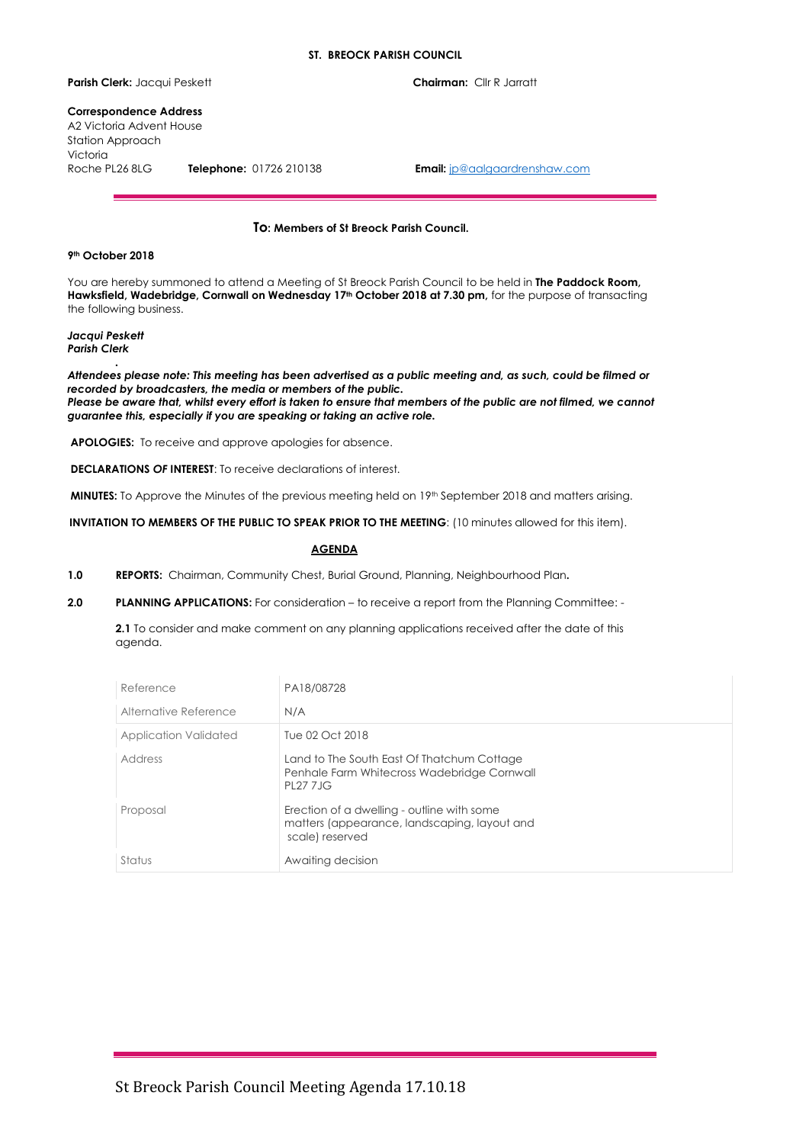## **ST. BREOCK PARISH COUNCIL**

## Parish Clerk: Jacqui Peskett **Chairman:** Cllr R Jarratt

## **Correspondence Address**

A2 Victoria Advent House Station Approach Victoria Roche PL26 8LG **Telephone:** 01726 210138 **Email:** [jp@aalgaardrenshaw.com](mailto:jp@aalgaardrenshaw.com)

#### **To: Members of St Breock Parish Council.**

#### **9th October 2018**

You are hereby summoned to attend a Meeting of St Breock Parish Council to be held in **The Paddock Room, Hawksfield, Wadebridge, Cornwall on Wednesday 17th October 2018 at 7.30 pm,** for the purpose of transacting the following business.

### *Jacqui Peskett Parish Clerk*

*.*

*Attendees please note: This meeting has been advertised as a public meeting and, as such, could be filmed or recorded by broadcasters, the media or members of the public. Please be aware that, whilst every effort is taken to ensure that members of the public are not filmed, we cannot guarantee this, especially if you are speaking or taking an active role.*

**APOLOGIES:** To receive and approve apologies for absence.

**DECLARATIONS** *OF* **INTEREST**: To receive declarations of interest.

**MINUTES:** To Approve the Minutes of the previous meeting held on 19th September 2018 and matters arising.

 **INVITATION TO MEMBERS OF THE PUBLIC TO SPEAK PRIOR TO THE MEETING**: (10 minutes allowed for this item).

#### **AGENDA**

- **1.0 REPORTS:** Chairman, Community Chest, Burial Ground, Planning, Neighbourhood Plan**.**
- **2.0 PLANNING APPLICATIONS:** For consideration to receive a report from the Planning Committee: -

**2.1** To consider and make comment on any planning applications received after the date of this agenda.

| Reference             | PA18/08728                                                                                                    |
|-----------------------|---------------------------------------------------------------------------------------------------------------|
| Alternative Reference | N/A                                                                                                           |
| Application Validated | Tue 02 Oct 2018                                                                                               |
| Address               | Land to The South East Of Thatchum Cottage<br>Penhale Farm Whitecross Wadebridge Cornwall<br>PL27 7 IG        |
| Proposal              | Erection of a dwelling - outline with some<br>matters (appearance, landscaping, layout and<br>scale) reserved |
| Status                | Awaiting decision                                                                                             |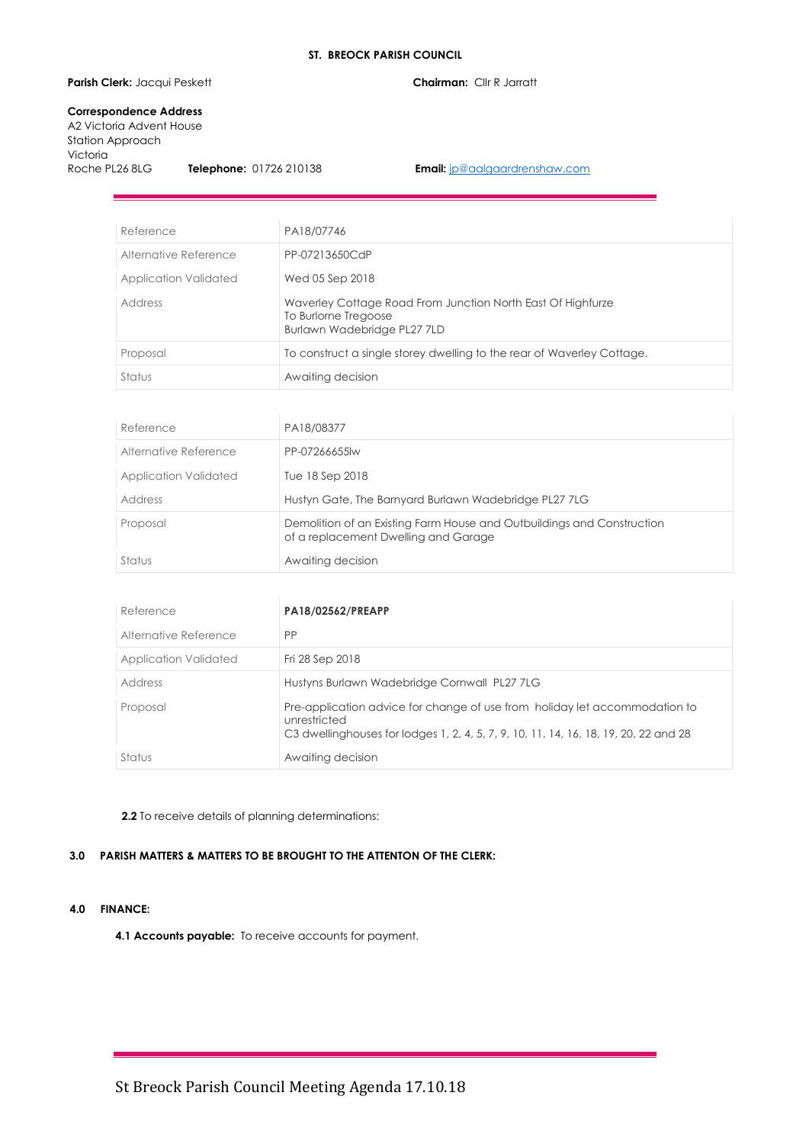# **ST. BREOCK PARISH COUNCIL**

# Parish Clerk: Jacqui Peskett **Chairman:** Cllr R Jarratt

# **Correspondence Address**

A2 Victoria Advent House Station Approach Victoria

Roche PL26 8LG **Telephone:** 01726 210138 **Email:** [jp@aalgaardrenshaw.com](mailto:jp@aalgaardrenshaw.com)

| Reference             | PA18/07746                                                                                                         |
|-----------------------|--------------------------------------------------------------------------------------------------------------------|
| Alternative Reference | PP-07213650CdP                                                                                                     |
| Application Validated | Wed 05 Sep 2018                                                                                                    |
| Address               | Waverley Cottage Road From Junction North East Of Highfurze<br>To Burlorne Tregoose<br>Burlawn Wadebridge PL27 7LD |
| Proposal              | To construct a single storey dwelling to the rear of Waverley Cottage.                                             |
| Status                | Awaiting decision                                                                                                  |

| Reference             | PA18/08377                                                                                                     |
|-----------------------|----------------------------------------------------------------------------------------------------------------|
| Alternative Reference | PP-07266655 lw                                                                                                 |
| Application Validated | Tue 18 Sep 2018                                                                                                |
| Address               | Hustyn Gate, The Barnyard Burlawn Wadebridge PL27 7LG                                                          |
| Proposal              | Demolition of an Existing Farm House and Outbuildings and Construction<br>of a replacement Dwelling and Garage |
| Status                | Awaiting decision                                                                                              |

| Reference             | PA18/02562/PREAPP                                                                                                                                                                  |  |  |  |
|-----------------------|------------------------------------------------------------------------------------------------------------------------------------------------------------------------------------|--|--|--|
| Alternative Reference | <b>PP</b>                                                                                                                                                                          |  |  |  |
| Application Validated | Fri 28 Sep 2018                                                                                                                                                                    |  |  |  |
| Address               | Hustyns Burlawn Wadebridge Cornwall PL27 7LG                                                                                                                                       |  |  |  |
| Proposal              | Pre-application advice for change of use from holiday let accommodation to<br>unrestricted<br>C3 dwellinghouses for lodges 1, 2, 4, 5, 7, 9, 10, 11, 14, 16, 18, 19, 20, 22 and 28 |  |  |  |
| Status                | Awaiting decision                                                                                                                                                                  |  |  |  |

 **2.2** To receive details of planning determinations:

# **3.0 PARISH MATTERS & MATTERS TO BE BROUGHT TO THE ATTENTON OF THE CLERK:**

# **4.0 FINANCE:**

**4.1 Accounts payable:** To receive accounts for payment.